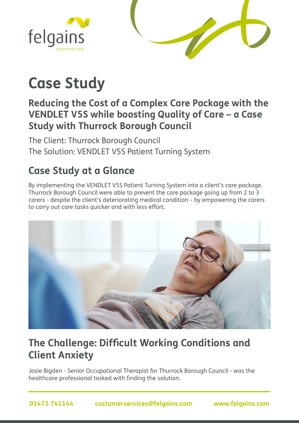



# **Case Study**

#### **Reducing the Cost of a Complex Care Package with the VENDLET V5S while boosting Quality of Care – a Case Study with Thurrock Borough Council**

The Client: Thurrock Borough Council The Solution: VENDLET V5S Patient Turning System

## **Case Study at a Glance**

By implementing the VENDLET V5S Patient Turning System into a client's care package. Thurrock Borough Council were able to prevent the care package going up from 2 to 3 carers - despite the client's deteriorating medical condition – by empowering the carers to carry out care tasks quicker and with less effort.



## **The Challenge: Difficult Working Conditions and Client Anxiety**

Josie Bigden - Senior Occupational Therapist for Thurrock Borough Council - was the healthcare professional tasked with finding the solution.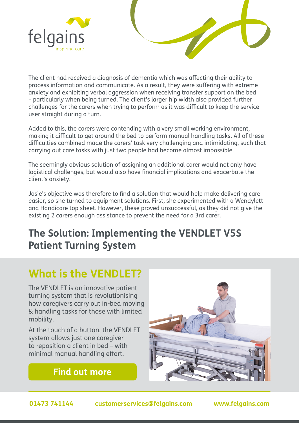



The client had received a diagnosis of dementia which was affecting their ability to process information and communicate. As a result, they were suffering with extreme anxiety and exhibiting verbal aggression when receiving transfer support on the bed – particularly when being turned. The client's larger hip width also provided further challenges for the carers when trying to perform as it was difficult to keep the service user straight during a turn.

Added to this, the carers were contending with a very small working environment, making it difficult to get around the bed to perform manual handling tasks. All of these difficulties combined made the carers' task very challenging and intimidating, such that carrying out care tasks with just two people had become almost impossible.

The seemingly obvious solution of assigning an additional carer would not only have logistical challenges, but would also have financial implications and exacerbate the client's anxiety.

Josie's objective was therefore to find a solution that would help make delivering care easier, so she turned to equipment solutions. First, she experimented with a Wendylett and Handicare top sheet. However, these proved unsuccessful, as they did not give the existing 2 carers enough assistance to prevent the need for a 3rd carer.

## **The Solution: Implementing the VENDLET V5S Patient Turning System**

# **What is the VENDLET?**

The VENDLET is an innovative patient turning system that is revolutionising how caregivers carry out in-bed moving & handling tasks for those with limited mobility.

At the touch of a button, the VENDLET system allows just one caregiver to reposition a client in bed – with minimal manual handling effort.

**[Find out more](https://www.felgains.com/patient-handling/patient-turning-and-positioning/vendlet-patient-turning-systems/)**

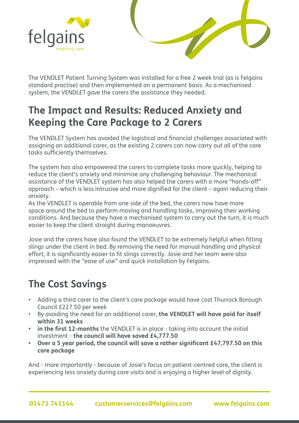



The VENDLET Patient Turning System was installed for a free 2 week trial (as is Felgains standard practise) and then implemented on a permanent basis. As a mechanised system, the VENDLET gave the carers the assistance they needed.

### **The Impact and Results: Reduced Anxiety and Keeping the Care Package to 2 Carers**

The VENDLET System has avoided the logistical and financial challenges associated with assigning an additional carer, as the existing 2 carers can now carry out all of the care tasks sufficiently themselves.

The system has also empowered the carers to complete tasks more quickly, helping to reduce the client's anxiety and minimise any challenging behaviour. The mechanical assistance of the VENDLET system has also helped the carers with a more "hands-off" approach – which is less intrusive and more dignified for the client – again reducing their anxiety.

As the VENDLET is operable from one side of the bed, the carers now have more space around the bed to perform moving and handling tasks, improving their working conditions. And because they have a mechanised system to carry out the turn, it is much easier to keep the client straight during manoeuvres.

Josie and the carers have also found the VENDLET to be extremely helpful when fitting slings under the client in bed. By removing the need for manual handling and physical effort, it is significantly easier to fit slings correctly. Josie and her team were also impressed with the "ease of use" and quick installation by Felgains.

# **The Cost Savings**

- Adding a third carer to the client's care package would have cost Thurrock Borough Council £227.50 per week
- By avoiding the need for an additional carer, **the VENDLET will have paid for itself within 31 weeks**
- **• in the first 12-months** the VENDLET is in place taking into account the initial investment - **the council will have saved £4,777.50**
- **• Over a 5 year period, the council will save a rather significant £47,797.50 on this care package**

And - more importantly - because of Josie's focus on patient-centred care, the client is experiencing less anxiety during care visits and is enjoying a higher level of dignity.